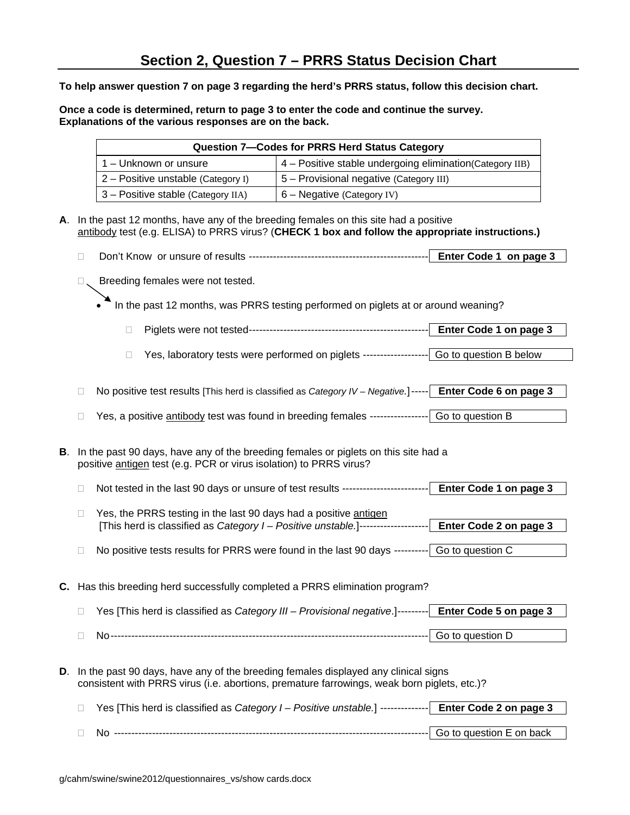**To help answer question 7 on page 3 regarding the herd's PRRS status, follow this decision chart.** 

**Once a code is determined, return to page 3 to enter the code and continue the survey. Explanations of the various responses are on the back.** 

|                                                                                                                                                                                    | Question 7-Codes for PRRS Herd Status Category                                     |                                                                                                                                                                                                              |                                                                                             |                        |  |  |  |  |  |
|------------------------------------------------------------------------------------------------------------------------------------------------------------------------------------|------------------------------------------------------------------------------------|--------------------------------------------------------------------------------------------------------------------------------------------------------------------------------------------------------------|---------------------------------------------------------------------------------------------|------------------------|--|--|--|--|--|
|                                                                                                                                                                                    |                                                                                    | 1 - Unknown or unsure                                                                                                                                                                                        | 4 - Positive stable undergoing elimination(Category IIB)                                    |                        |  |  |  |  |  |
|                                                                                                                                                                                    |                                                                                    | 2 - Positive unstable (Category I)                                                                                                                                                                           | 5 - Provisional negative (Category III)                                                     |                        |  |  |  |  |  |
|                                                                                                                                                                                    |                                                                                    | 3 - Positive stable (Category IIA)                                                                                                                                                                           | 6 - Negative (Category IV)                                                                  |                        |  |  |  |  |  |
| А.                                                                                                                                                                                 |                                                                                    | In the past 12 months, have any of the breeding females on this site had a positive<br>antibody test (e.g. ELISA) to PRRS virus? (CHECK 1 box and follow the appropriate instructions.)                      |                                                                                             |                        |  |  |  |  |  |
|                                                                                                                                                                                    | П                                                                                  |                                                                                                                                                                                                              |                                                                                             |                        |  |  |  |  |  |
|                                                                                                                                                                                    | $\Box$                                                                             | Breeding females were not tested.                                                                                                                                                                            |                                                                                             |                        |  |  |  |  |  |
|                                                                                                                                                                                    | In the past 12 months, was PRRS testing performed on piglets at or around weaning? |                                                                                                                                                                                                              |                                                                                             |                        |  |  |  |  |  |
|                                                                                                                                                                                    |                                                                                    | П                                                                                                                                                                                                            |                                                                                             | Enter Code 1 on page 3 |  |  |  |  |  |
|                                                                                                                                                                                    |                                                                                    | O                                                                                                                                                                                                            | Yes, laboratory tests were performed on piglets -------------------- Go to question B below |                        |  |  |  |  |  |
|                                                                                                                                                                                    | $\mathbb{L}$<br>□                                                                  | No positive test results [This herd is classified as Category IV - Negative.]----- Enter Code 6 on page 3<br>Yes, a positive antibody test was found in breeding females -----------------  Go to question B |                                                                                             |                        |  |  |  |  |  |
| В.                                                                                                                                                                                 |                                                                                    | In the past 90 days, have any of the breeding females or piglets on this site had a<br>positive antigen test (e.g. PCR or virus isolation) to PRRS virus?                                                    |                                                                                             |                        |  |  |  |  |  |
| Not tested in the last 90 days or unsure of test results ------------------------<br><b>Enter Code 1 on page 3</b><br>П                                                            |                                                                                    |                                                                                                                                                                                                              |                                                                                             |                        |  |  |  |  |  |
| Yes, the PRRS testing in the last 90 days had a positive antigen<br>□<br>[This herd is classified as Category I - Positive unstable.]-------------------<br>Enter Code 2 on page 3 |                                                                                    |                                                                                                                                                                                                              |                                                                                             |                        |  |  |  |  |  |
|                                                                                                                                                                                    | □                                                                                  | No positive tests results for PRRS were found in the last 90 days --------- Go to question C                                                                                                                 |                                                                                             |                        |  |  |  |  |  |
|                                                                                                                                                                                    | C. Has this breeding herd successfully completed a PRRS elimination program?       |                                                                                                                                                                                                              |                                                                                             |                        |  |  |  |  |  |
|                                                                                                                                                                                    | □                                                                                  | Yes [This herd is classified as Category III - Provisional negative.]--------- Enter Code 5 on page 3                                                                                                        |                                                                                             |                        |  |  |  |  |  |
|                                                                                                                                                                                    | □                                                                                  |                                                                                                                                                                                                              |                                                                                             | Go to question D       |  |  |  |  |  |
| D.                                                                                                                                                                                 |                                                                                    | In the past 90 days, have any of the breeding females displayed any clinical signs<br>consistent with PRRS virus (i.e. abortions, premature farrowings, weak born piglets, etc.)?                            |                                                                                             |                        |  |  |  |  |  |

| Yes [This herd is classified as Category I - Positive unstable.] -------------  Enter Code 2 on page 3 |  |
|--------------------------------------------------------------------------------------------------------|--|
|                                                                                                        |  |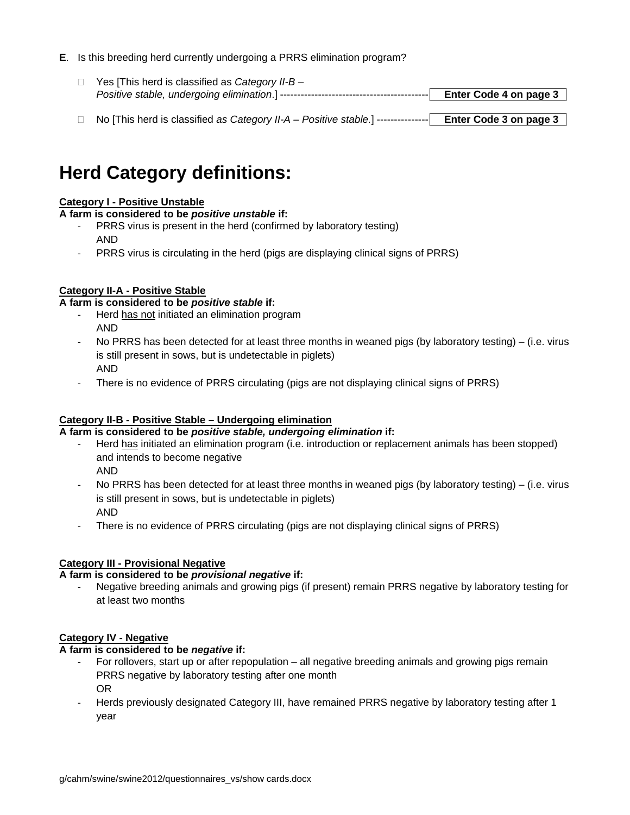## **E**. Is this breeding herd currently undergoing a PRRS elimination program?

- Yes [This herd is classified as *Category II-B Positive stable, undergoing elimination*.] ------------------------------------------- **Enter Code 4 on page 3**
- No [This herd is classified *as Category II-A Positive stable.*] --------------- **Enter Code 3 on page 3**

# **Herd Category definitions:**

## **Category I - Positive Unstable**

**A farm is considered to be** *positive unstable* **if:** 

- PRRS virus is present in the herd (confirmed by laboratory testing) AND
- PRRS virus is circulating in the herd (pigs are displaying clinical signs of PRRS)

## **Category II-A - Positive Stable**

**A farm is considered to be** *positive stable* **if:** 

- ‐ Herd has not initiated an elimination program AND
- ‐ No PRRS has been detected for at least three months in weaned pigs (by laboratory testing) (i.e. virus is still present in sows, but is undetectable in piglets) AND
- ‐ There is no evidence of PRRS circulating (pigs are not displaying clinical signs of PRRS)

#### **Category II-B - Positive Stable – Undergoing elimination**

**A farm is considered to be** *positive stable, undergoing elimination* **if:** 

- ‐ Herd has initiated an elimination program (i.e. introduction or replacement animals has been stopped) and intends to become negative AND
- ‐ No PRRS has been detected for at least three months in weaned pigs (by laboratory testing) (i.e. virus is still present in sows, but is undetectable in piglets) AND
- ‐ There is no evidence of PRRS circulating (pigs are not displaying clinical signs of PRRS)

## **Category III - Provisional Negative**

#### **A farm is considered to be** *provisional negative* **if:**

‐ Negative breeding animals and growing pigs (if present) remain PRRS negative by laboratory testing for at least two months

#### **Category IV - Negative**

#### **A farm is considered to be** *negative* **if:**

- For rollovers, start up or after repopulation all negative breeding animals and growing pigs remain PRRS negative by laboratory testing after one month OR
- ‐ Herds previously designated Category III, have remained PRRS negative by laboratory testing after 1 year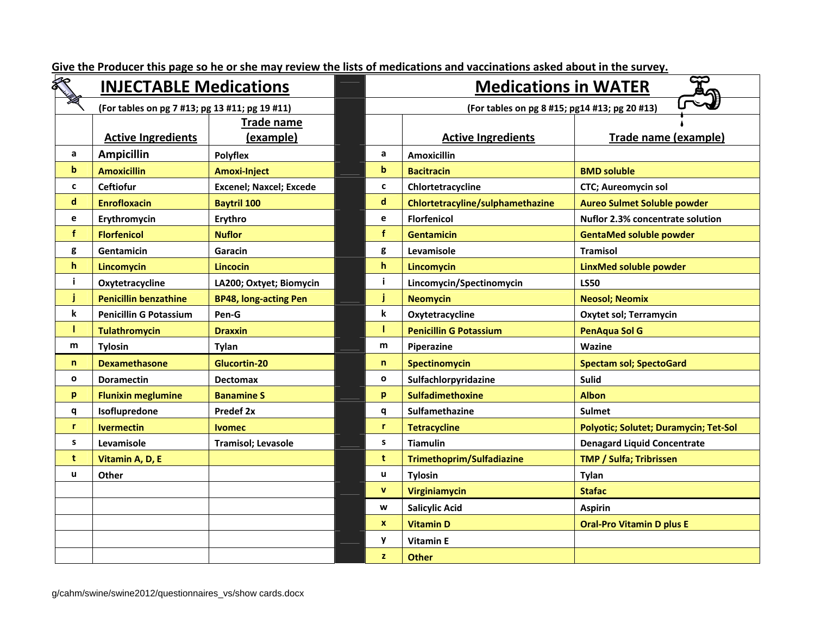|              | <b>INJECTABLE Medications</b>                  |                                |   |                                | <b>Medications in WATER</b>                   |                                         |  |  |  |
|--------------|------------------------------------------------|--------------------------------|---|--------------------------------|-----------------------------------------------|-----------------------------------------|--|--|--|
|              | (For tables on pg 7 #13; pg 13 #11; pg 19 #11) |                                |   |                                | (For tables on pg 8 #15; pg14 #13; pg 20 #13) |                                         |  |  |  |
|              |                                                | <b>Trade name</b>              |   |                                |                                               |                                         |  |  |  |
|              | <b>Active Ingredients</b>                      | (example)                      |   |                                | <b>Active Ingredients</b>                     | Trade name (example)                    |  |  |  |
| a            | <b>Ampicillin</b>                              | Polyflex                       |   | a                              | <b>Amoxicillin</b>                            |                                         |  |  |  |
| b            | <b>Amoxicillin</b>                             | <b>Amoxi-Inject</b>            |   | $\mathbf b$                    | <b>Bacitracin</b>                             | <b>BMD soluble</b>                      |  |  |  |
| C            | <b>Ceftiofur</b>                               | <b>Excenel; Naxcel; Excede</b> |   | C                              | Chlortetracycline                             | <b>CTC</b> ; Aureomycin sol             |  |  |  |
| d            | <b>Enrofloxacin</b>                            | <b>Baytril 100</b>             |   | d                              | Chlortetracyline/sulphamethazine              | <b>Aureo Sulmet Soluble powder</b>      |  |  |  |
| e            | Erythromycin                                   | Erythro                        |   | e                              | <b>Florfenicol</b>                            | <b>Nuflor 2.3% concentrate solution</b> |  |  |  |
| $\mathbf f$  | <b>Florfenicol</b>                             | <b>Nuflor</b>                  |   | $\mathbf{f}$                   | <b>Gentamicin</b>                             | <b>GentaMed soluble powder</b>          |  |  |  |
| g            | Gentamicin                                     | Garacin                        |   | g                              | Levamisole                                    | <b>Tramisol</b>                         |  |  |  |
| h            | Lincomycin                                     | <b>Lincocin</b>                |   | $\mathbf{h}$                   | Lincomycin                                    | LinxMed soluble powder                  |  |  |  |
| j.           | Oxytetracycline                                | LA200; Oxtyet; Biomycin        |   | j.                             | Lincomycin/Spectinomycin                      | <b>LS50</b>                             |  |  |  |
| Ĵ            | <b>Penicillin benzathine</b>                   | <b>BP48, long-acting Pen</b>   |   | j                              | <b>Neomycin</b>                               | <b>Neosol; Neomix</b>                   |  |  |  |
| k            | <b>Penicillin G Potassium</b>                  | Pen-G                          |   | k                              | Oxytetracycline                               | <b>Oxytet sol; Terramycin</b>           |  |  |  |
| T            | <b>Tulathromycin</b>                           | <b>Draxxin</b>                 | т |                                | <b>Penicillin G Potassium</b>                 | <b>PenAqua Sol G</b>                    |  |  |  |
| m            | <b>Tylosin</b>                                 | Tylan                          |   | m                              | Piperazine                                    | Wazine                                  |  |  |  |
| $\mathsf{n}$ | <b>Dexamethasone</b>                           | Glucortin-20                   |   | $\mathsf{n}$                   | Spectinomycin                                 | <b>Spectam sol; SpectoGard</b>          |  |  |  |
| 0            | <b>Doramectin</b>                              | <b>Dectomax</b>                |   | $\mathbf{o}$                   | Sulfachlorpyridazine                          | <b>Sulid</b>                            |  |  |  |
| p            | <b>Flunixin meglumine</b>                      | <b>Banamine S</b>              |   | p                              | <b>Sulfadimethoxine</b>                       | <b>Albon</b>                            |  |  |  |
| q            | Isoflupredone                                  | Predef 2x                      |   | q                              | Sulfamethazine                                | <b>Sulmet</b>                           |  |  |  |
| r            | <b>Ivermectin</b>                              | <b>Ivomec</b>                  |   | r.<br><b>Tetracycline</b>      |                                               | Polyotic; Solutet; Duramycin; Tet-Sol   |  |  |  |
| s            | Levamisole                                     | <b>Tramisol; Levasole</b>      |   | s                              | <b>Tiamulin</b>                               | <b>Denagard Liquid Concentrate</b>      |  |  |  |
| t            | Vitamin A, D, E                                |                                |   | t<br>Trimethoprim/Sulfadiazine |                                               | <b>TMP / Sulfa; Tribrissen</b>          |  |  |  |
| u            | Other                                          |                                |   | u.                             | <b>Tylosin</b>                                | <b>Tylan</b>                            |  |  |  |
|              |                                                |                                |   | $\mathbf{v}$                   | Virginiamycin                                 | <b>Stafac</b>                           |  |  |  |
|              |                                                |                                |   | W<br><b>Salicylic Acid</b>     |                                               | <b>Aspirin</b>                          |  |  |  |
|              |                                                |                                |   | $\mathbf{x}$                   | <b>Vitamin D</b>                              | <b>Oral-Pro Vitamin D plus E</b>        |  |  |  |
|              |                                                |                                |   | y                              | <b>Vitamin E</b>                              |                                         |  |  |  |
|              |                                                |                                |   | $\mathbf{z}$                   | <b>Other</b>                                  |                                         |  |  |  |

<u>Give the Producer this page so he or she may review the lists of medications and vaccinations asked about in the survey.</u>